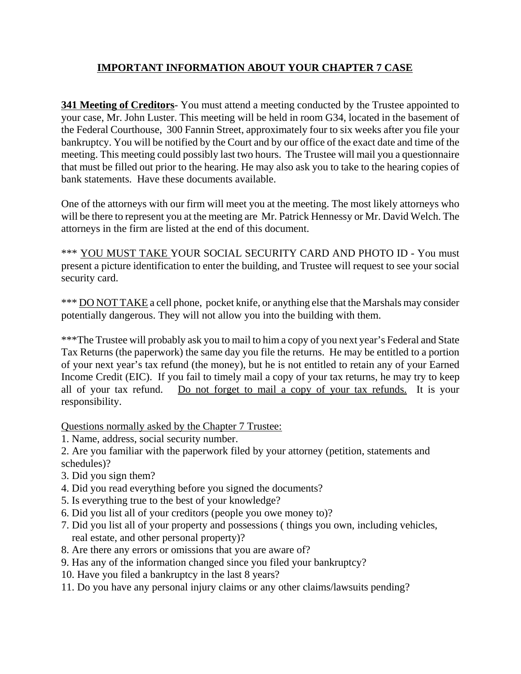## **IMPORTANT INFORMATION ABOUT YOUR CHAPTER 7 CASE**

**341 Meeting of Creditors**- You must attend a meeting conducted by the Trustee appointed to your case, Mr. John Luster. This meeting will be held in room G34, located in the basement of the Federal Courthouse, 300 Fannin Street, approximately four to six weeks after you file your bankruptcy. You will be notified by the Court and by our office of the exact date and time of the meeting. This meeting could possibly last two hours. The Trustee will mail you a questionnaire that must be filled out prior to the hearing. He may also ask you to take to the hearing copies of bank statements. Have these documents available.

One of the attorneys with our firm will meet you at the meeting. The most likely attorneys who will be there to represent you at the meeting are Mr. Patrick Hennessy or Mr. David Welch. The attorneys in the firm are listed at the end of this document.

\*\*\* YOU MUST TAKE YOUR SOCIAL SECURITY CARD AND PHOTO ID - You must present a picture identification to enter the building, and Trustee will request to see your social security card.

\*\*\* DO NOT TAKE a cell phone, pocket knife, or anything else that the Marshals may consider potentially dangerous. They will not allow you into the building with them.

\*\*\*The Trustee will probably ask you to mail to him a copy of you next year's Federal and State Tax Returns (the paperwork) the same day you file the returns. He may be entitled to a portion of your next year's tax refund (the money), but he is not entitled to retain any of your Earned Income Credit (EIC). If you fail to timely mail a copy of your tax returns, he may try to keep all of your tax refund. Do not forget to mail a copy of your tax refunds. It is your responsibility.

Questions normally asked by the Chapter 7 Trustee:

- 1. Name, address, social security number.
- 2. Are you familiar with the paperwork filed by your attorney (petition, statements and schedules)?
- 3. Did you sign them?
- 4. Did you read everything before you signed the documents?
- 5. Is everything true to the best of your knowledge?
- 6. Did you list all of your creditors (people you owe money to)?
- 7. Did you list all of your property and possessions ( things you own, including vehicles, real estate, and other personal property)?
- 8. Are there any errors or omissions that you are aware of?
- 9. Has any of the information changed since you filed your bankruptcy?
- 10. Have you filed a bankruptcy in the last 8 years?
- 11. Do you have any personal injury claims or any other claims/lawsuits pending?